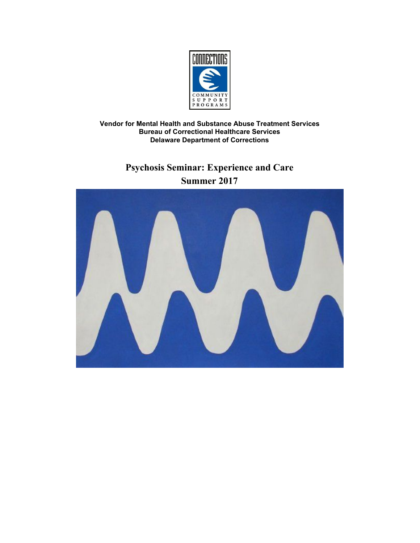

**Vendor for Mental Health and Substance Abuse Treatment Services Bureau of Correctional Healthcare Services Delaware Department of Corrections**

> **Psychosis Seminar: Experience and Care Summer 2017**

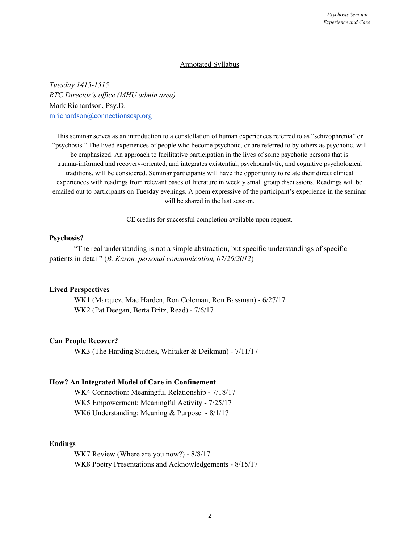### Annotated Syllabus

*Tuesday 1415-1515 RTC Director's of ice (MHU admin area)* Mark Richardson, Psy.D. [mrichardson@connectionscsp.org](mailto:mrichardson@connectionscsp.org)

This seminar serves as an introduction to a constellation of human experiences referred to as "schizophrenia" or "psychosis." The lived experiences of people who become psychotic, or are referred to by others as psychotic, will be emphasized. An approach to facilitative participation in the lives of some psychotic persons that is trauma-informed and recovery-oriented, and integrates existential, psychoanalytic, and cognitive psychological traditions, will be considered. Seminar participants will have the opportunity to relate their direct clinical experiences with readings from relevant bases of literature in weekly small group discussions. Readings will be emailed out to participants on Tuesday evenings. A poem expressive of the participant's experience in the seminar will be shared in the last session.

CE credits for successful completion available upon request.

### **Psychosis?**

"The real understanding is not a simple abstraction, but specific understandings of specific patients in detail" (*B. Karon, personal communication, 07/26/2012*)

### **Lived Perspectives**

WK1 (Marquez, Mae Harden, Ron Coleman, Ron Bassman) - 6/27/17 WK2 (Pat Deegan, Berta Britz, Read) - 7/6/17

### **Can People Recover?**

WK3 (The Harding Studies, Whitaker & Deikman) - 7/11/17

### **How? An Integrated Model of Care in Confinement**

WK4 Connection: Meaningful Relationship - 7/18/17 WK5 Empowerment: Meaningful Activity - 7/25/17 WK6 Understanding: Meaning & Purpose - 8/1/17

### **Endings**

WK7 Review (Where are you now?) - 8/8/17 WK8 Poetry Presentations and Acknowledgements - 8/15/17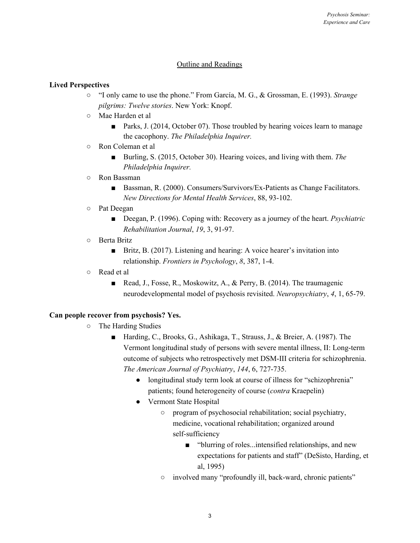## Outline and Readings

## **Lived Perspectives**

- "I only came to use the phone." From García, M. G., & Grossman, E. (1993). *Strange pilgrims: Twelve stories*. New York: Knopf.
- Mae Harden et al
	- Parks, J. (2014, October 07). Those troubled by hearing voices learn to manage the cacophony. *The Philadelphia Inquirer.*
- Ron Coleman et al
	- Burling, S. (2015, October 30). Hearing voices, and living with them. *The Philadelphia Inquirer.*
- Ron Bassman
	- Bassman, R. (2000). Consumers/Survivors/Ex-Patients as Change Facilitators. *New Directions for Mental Health Services*, 88, 93-102.
- Pat Deegan
	- Deegan, P. (1996). Coping with: Recovery as a journey of the heart. *Psychiatric Rehabilitation Journal*, *19*, 3, 91-97.
- Berta Britz
	- Britz, B. (2017). Listening and hearing: A voice hearer's invitation into relationship. *Frontiers in Psychology*, *8*, 387, 1-4.
- Read et al
	- Read, J., Fosse, R., Moskowitz, A., & Perry, B. (2014). The traumagenic neurodevelopmental model of psychosis revisited. *Neuropsychiatry*, *4*, 1, 65-79.

### **Can people recover from psychosis? Yes.**

- The Harding Studies
	- Harding, C., Brooks, G., Ashikaga, T., Strauss, J., & Breier, A. (1987). The Vermont longitudinal study of persons with severe mental illness, II: Long-term outcome of subjects who retrospectively met DSM-III criteria for schizophrenia. *The American Journal of Psychiatry*, *144*, 6, 727-735.
		- longitudinal study term look at course of illness for "schizophrenia" patients; found heterogeneity of course (*contra* Kraepelin)
		- Vermont State Hospital
			- program of psychosocial rehabilitation; social psychiatry, medicine, vocational rehabilitation; organized around self-sufficiency
				- "blurring of roles...intensified relationships, and new expectations for patients and staff" (DeSisto, Harding, et al, 1995)
			- involved many "profoundly ill, back-ward, chronic patients"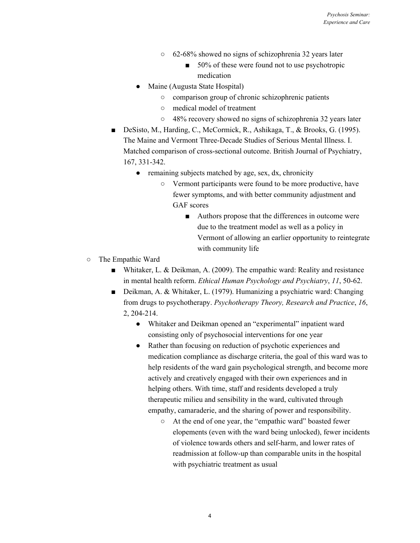- 62-68% showed no signs of schizophrenia 32 years later
	- 50% of these were found not to use psychotropic medication
- Maine (Augusta State Hospital)
	- comparison group of chronic schizophrenic patients
	- medical model of treatment
	- 48% recovery showed no signs of schizophrenia 32 years later
- DeSisto, M., Harding, C., McCormick, R., Ashikaga, T., & Brooks, G. (1995). The Maine and Vermont Three-Decade Studies of Serious Mental Illness. I. Matched comparison of cross-sectional outcome. British Journal of Psychiatry, 167, 331-342.
	- remaining subjects matched by age, sex, dx, chronicity
		- Vermont participants were found to be more productive, have fewer symptoms, and with better community adjustment and GAF scores
			- Authors propose that the differences in outcome were due to the treatment model as well as a policy in Vermont of allowing an earlier opportunity to reintegrate with community life
- The Empathic Ward
	- Whitaker, L. & Deikman, A. (2009). The empathic ward: Reality and resistance in mental health reform. *Ethical Human Psychology and Psychiatry*, *11*, 50-62.
	- Deikman, A. & Whitaker, L. (1979). Humanizing a psychiatric ward: Changing from drugs to psychotherapy. *Psychotherapy Theory, Research and Practice*, *16*, 2, 204-214.
		- Whitaker and Deikman opened an "experimental" inpatient ward consisting only of psychosocial interventions for one year
		- Rather than focusing on reduction of psychotic experiences and medication compliance as discharge criteria, the goal of this ward was to help residents of the ward gain psychological strength, and become more actively and creatively engaged with their own experiences and in helping others. With time, staff and residents developed a truly therapeutic milieu and sensibility in the ward, cultivated through empathy, camaraderie, and the sharing of power and responsibility.
			- At the end of one year, the "empathic ward" boasted fewer elopements (even with the ward being unlocked), fewer incidents of violence towards others and self-harm, and lower rates of readmission at follow-up than comparable units in the hospital with psychiatric treatment as usual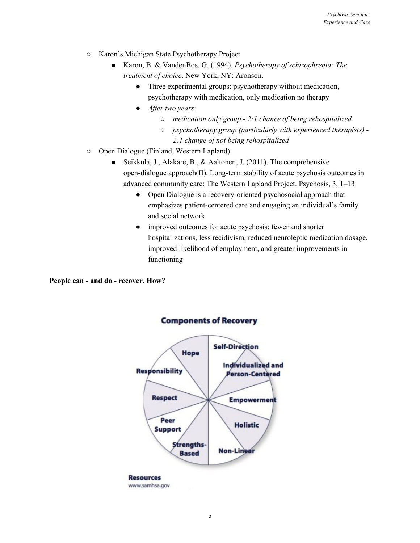- Karon's Michigan State Psychotherapy Project
	- Karon, B. & VandenBos, G. (1994). *Psychotherapy of schizophrenia: The treatment of choice*. New York, NY: Aronson.
		- Three experimental groups: psychotherapy without medication, psychotherapy with medication, only medication no therapy
		- *After two years:*
			- *medication only group - 2:1 chance of being rehospitalized*
			- *psychotherapy group (particularly with experienced therapists) - 2:1 change of not being rehospitalized*
- Open Dialogue (Finland, Western Lapland)
	- Seikkula, J., Alakare, B., & Aaltonen, J. (2011). The comprehensive open-dialogue approach(II). Long-term stability of acute psychosis outcomes in advanced community care: The Western Lapland Project. Psychosis, 3, 1–13.
		- Open Dialogue is a recovery-oriented psychosocial approach that emphasizes patient-centered care and engaging an individual's family and social network
		- improved outcomes for acute psychosis: fewer and shorter hospitalizations, less recidivism, reduced neuroleptic medication dosage, improved likelihood of employment, and greater improvements in functioning

**People can - and do - recover. How?**



**Components of Recovery** 

www.samhsa.gov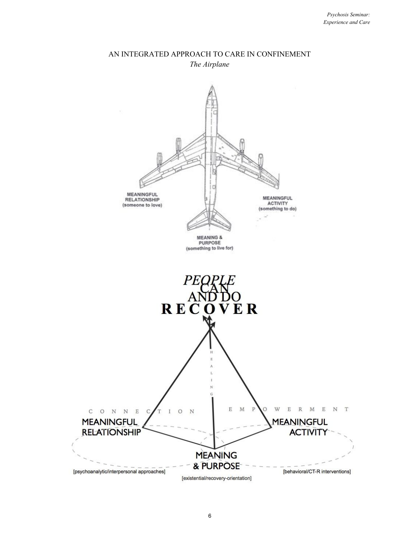# AN INTEGRATED APPROACH TO CARE IN CONFINEMENT *The Airplane*

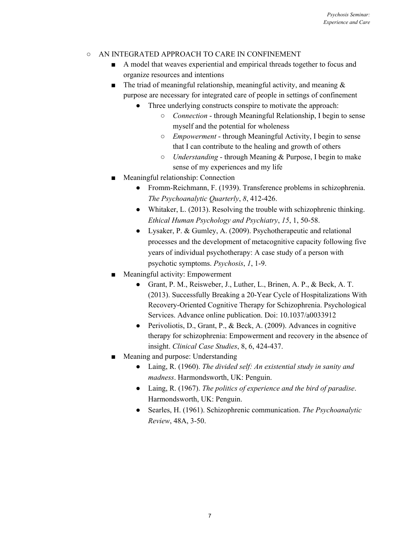# ○ AN INTEGRATED APPROACH TO CARE IN CONFINEMENT

- A model that weaves experiential and empirical threads together to focus and organize resources and intentions
- **The triad of meaningful relationship, meaningful activity, and meaning**  $\&$ purpose are necessary for integrated care of people in settings of confinement
	- Three underlying constructs conspire to motivate the approach:
		- *Connection* through Meaningful Relationship, I begin to sense myself and the potential for wholeness
		- *Empowerment* through Meaningful Activity, I begin to sense that I can contribute to the healing and growth of others
		- *Understanding* through Meaning & Purpose, I begin to make sense of my experiences and my life
- Meaningful relationship: Connection
	- Fromm-Reichmann, F. (1939). Transference problems in schizophrenia. *The Psychoanalytic Quarterly*, *8*, 412-426.
	- Whitaker, L. (2013). Resolving the trouble with schizophrenic thinking. *Ethical Human Psychology and Psychiatry*, *15*, 1, 50-58.
	- Lysaker, P. & Gumley, A. (2009). Psychotherapeutic and relational processes and the development of metacognitive capacity following five years of individual psychotherapy: A case study of a person with psychotic symptoms. *Psychosis*, *1*, 1-9.
- Meaningful activity: Empowerment
	- Grant, P. M., Reisweber, J., Luther, L., Brinen, A. P., & Beck, A. T. (2013). Successfully Breaking a 20-Year Cycle of Hospitalizations With Recovery-Oriented Cognitive Therapy for Schizophrenia. Psychological Services. Advance online publication. Doi: 10.1037/a0033912
	- Perivoliotis, D., Grant, P., & Beck, A. (2009). Advances in cognitive therapy for schizophrenia: Empowerment and recovery in the absence of insight. *Clinical Case Studies*, 8, 6, 424-437.
- Meaning and purpose: Understanding
	- Laing, R. (1960). *The divided self: An existential study in sanity and madness*. Harmondsworth, UK: Penguin.
	- Laing, R. (1967). *The politics of experience and the bird of paradise*. Harmondsworth, UK: Penguin.
	- Searles, H. (1961). Schizophrenic communication. *The Psychoanalytic Review*, 48A, 3-50.